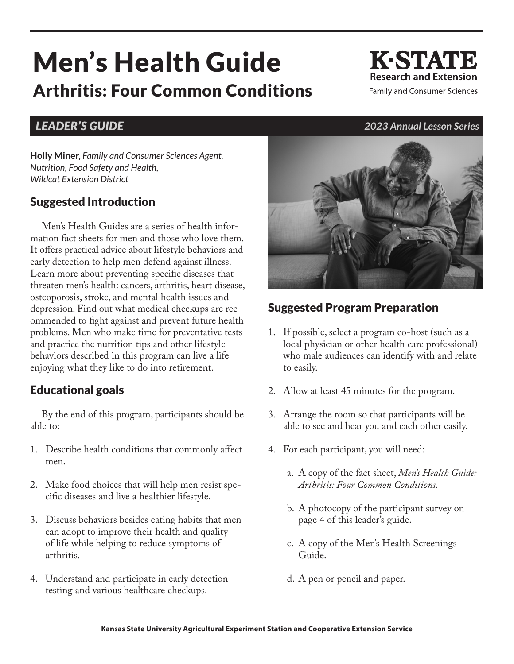# Men's Health Guide Arthritis: Four Common Conditions

**K-STATE Research and Extension Family and Consumer Sciences** 

**Holly Miner,** *Family and Consumer Sciences Agent, Nutrition, Food Safety and Health, Wildcat Extension District*

#### Suggested Introduction

Men's Health Guides are a series of health information fact sheets for men and those who love them. It offers practical advice about lifestyle behaviors and early detection to help men defend against illness. Learn more about preventing specific diseases that threaten men's health: cancers, arthritis, heart disease, osteoporosis, stroke, and mental health issues and depression. Find out what medical checkups are recommended to fight against and prevent future health problems. Men who make time for preventative tests and practice the nutrition tips and other lifestyle behaviors described in this program can live a life enjoying what they like to do into retirement.

#### Educational goals

By the end of this program, participants should be able to:

- 1. Describe health conditions that commonly affect men.
- 2. Make food choices that will help men resist specific diseases and live a healthier lifestyle.
- 3. Discuss behaviors besides eating habits that men can adopt to improve their health and quality of life while helping to reduce symptoms of arthritis.
- 4. Understand and participate in early detection testing and various healthcare checkups.



## Suggested Program Preparation

- 1. If possible, select a program co-host (such as a local physician or other health care professional) who male audiences can identify with and relate to easily.
- 2. Allow at least 45 minutes for the program.
- 3. Arrange the room so that participants will be able to see and hear you and each other easily.
- 4. For each participant, you will need:
	- a. A copy of the fact sheet, *Men's Health Guide: Arthritis: Four Common Conditions.*
	- b. A photocopy of the participant survey on page 4 of this leader's guide.
	- c. A copy of the Men's Health Screenings Guide.
	- d. A pen or pencil and paper.

#### *LEADER'S GUIDE 2023 Annual Lesson Series*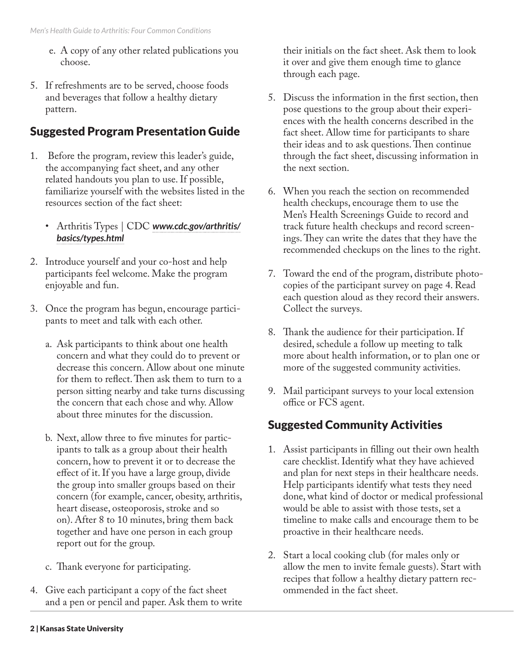- e. A copy of any other related publications you choose.
- 5. If refreshments are to be served, choose foods and beverages that follow a healthy dietary pattern.

#### Suggested Program Presentation Guide

- 1. Before the program, review this leader's guide, the accompanying fact sheet, and any other related handouts you plan to use. If possible, familiarize yourself with the websites listed in the resources section of the fact sheet:
	- Arthritis Types | CDC *[www.cdc.gov/arthritis/](https://www.cdc.gov/arthritis/basics/types.html) [basics/types.html](https://www.cdc.gov/arthritis/basics/types.html)*
- 2. Introduce yourself and your co-host and help participants feel welcome. Make the program enjoyable and fun.
- 3. Once the program has begun, encourage participants to meet and talk with each other.
	- a. Ask participants to think about one health concern and what they could do to prevent or decrease this concern. Allow about one minute for them to reflect. Then ask them to turn to a person sitting nearby and take turns discussing the concern that each chose and why. Allow about three minutes for the discussion.
	- b. Next, allow three to five minutes for participants to talk as a group about their health concern, how to prevent it or to decrease the effect of it. If you have a large group, divide the group into smaller groups based on their concern (for example, cancer, obesity, arthritis, heart disease, osteoporosis, stroke and so on). After 8 to 10 minutes, bring them back together and have one person in each group report out for the group.
	- c. Thank everyone for participating.
- 4. Give each participant a copy of the fact sheet and a pen or pencil and paper. Ask them to write

their initials on the fact sheet. Ask them to look it over and give them enough time to glance through each page.

- 5. Discuss the information in the first section, then pose questions to the group about their experiences with the health concerns described in the fact sheet. Allow time for participants to share their ideas and to ask questions. Then continue through the fact sheet, discussing information in the next section.
- 6. When you reach the section on recommended health checkups, encourage them to use the Men's Health Screenings Guide to record and track future health checkups and record screenings. They can write the dates that they have the recommended checkups on the lines to the right.
- 7. Toward the end of the program, distribute photocopies of the participant survey on page 4. Read each question aloud as they record their answers. Collect the surveys.
- 8. Thank the audience for their participation. If desired, schedule a follow up meeting to talk more about health information, or to plan one or more of the suggested community activities.
- 9. Mail participant surveys to your local extension office or FCS agent.

## Suggested Community Activities

- 1. Assist participants in filling out their own health care checklist. Identify what they have achieved and plan for next steps in their healthcare needs. Help participants identify what tests they need done, what kind of doctor or medical professional would be able to assist with those tests, set a timeline to make calls and encourage them to be proactive in their healthcare needs.
- 2. Start a local cooking club (for males only or allow the men to invite female guests). Start with recipes that follow a healthy dietary pattern recommended in the fact sheet.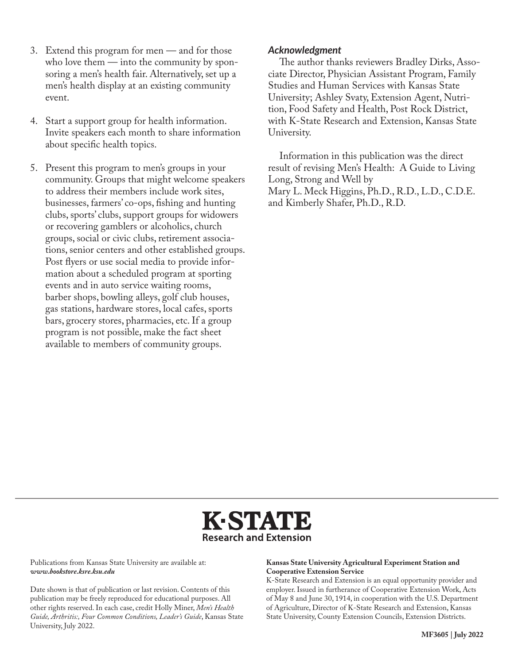- 3. Extend this program for men and for those who love them — into the community by sponsoring a men's health fair. Alternatively, set up a men's health display at an existing community event.
- 4. Start a support group for health information. Invite speakers each month to share information about specific health topics.
- 5. Present this program to men's groups in your community. Groups that might welcome speakers to address their members include work sites, businesses, farmers' co-ops, fishing and hunting clubs, sports' clubs, support groups for widowers or recovering gamblers or alcoholics, church groups, social or civic clubs, retirement associations, senior centers and other established groups. Post flyers or use social media to provide information about a scheduled program at sporting events and in auto service waiting rooms, barber shops, bowling alleys, golf club houses, gas stations, hardware stores, local cafes, sports bars, grocery stores, pharmacies, etc. If a group program is not possible, make the fact sheet available to members of community groups.

#### *Acknowledgment*

The author thanks reviewers Bradley Dirks, Associate Director, Physician Assistant Program, Family Studies and Human Services with Kansas State University; Ashley Svaty, Extension Agent, Nutrition, Food Safety and Health, Post Rock District, with K-State Research and Extension, Kansas State University.

Information in this publication was the direct result of revising Men's Health: A Guide to Living Long, Strong and Well by Mary L. Meck Higgins, Ph.D., R.D., L.D., C.D.E. and Kimberly Shafer, Ph.D., R.D.



Publications from Kansas State University are available at: *www.bookstore.ksre.ksu.edu*

Date shown is that of publication or last revision. Contents of this publication may be freely reproduced for educational purposes. All other rights reserved. In each case, credit Holly Miner, *Men's Health Guide, Arthritis:, Four Common Conditions, Leader's Guide*, Kansas State University, July 2022.

#### **Kansas State University Agricultural Experiment Station and Cooperative Extension Service**

K-State Research and Extension is an equal opportunity provider and employer. Issued in furtherance of Cooperative Extension Work, Acts of May 8 and June 30, 1914, in cooperation with the U.S. Department of Agriculture, Director of K-State Research and Extension, Kansas State University, County Extension Councils, Extension Districts.